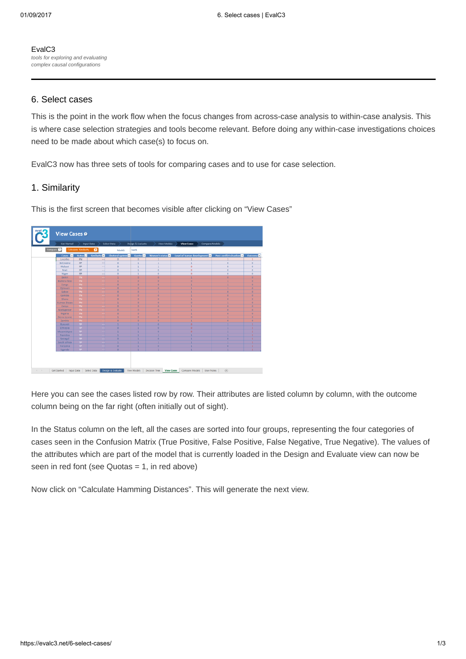[EvalC3](https://evalc3.net/) tools for exploring and evaluating complex causal configurations

## 6. Select cases

This is the point in the work flow when the focus changes from across-case analysis to within-case analysis. This is where case selection strategies and tools become relevant. Before doing any within-case investigations choices need to be made about which case(s) to focus on.

EvalC3 now has three sets of tools for comparing cases and to use for case selection.

# 1. Similarity

View Cases ® moare  $\boldsymbol{\Omega}$ Get Started | Input Data | Select Data | Design& Evaluate | View Models | Decision Tree | View Cases | Compare Models | User Notes |  $\oplus$ 

This is the first screen that becomes visible after clicking on "View Cases"

Here you can see the cases listed row by row. Their attributes are listed column by column, with the outcome column being on the far right (often initially out of sight).

In the Status column on the left, all the cases are sorted into four groups, representing the four categories of cases seen in the Confusion Matrix (True Positive, False Positive, False Negative, True Negative). The values of the attributes which are part of the model that is currently loaded in the Design and Evaluate view can now be seen in red font (see Quotas  $= 1$ , in red above)

Now click on "Calculate Hamming Distances". This will generate the next view.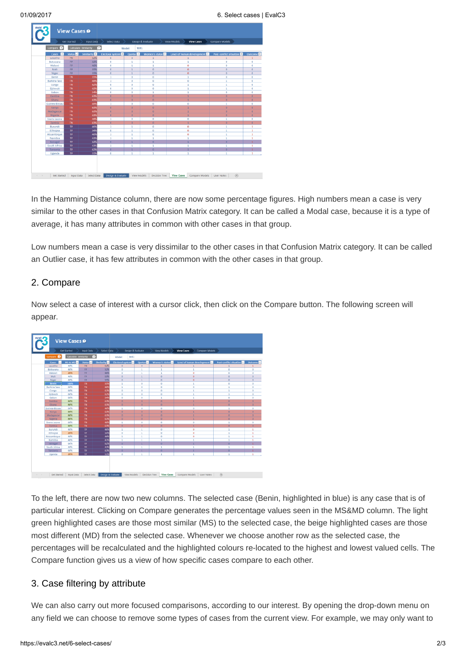|                                |                             |                                       |                         |                                               | Design & Evaluate       | View Models<br><b>View Cases</b> | <b>Compare Models</b>   |                      |
|--------------------------------|-----------------------------|---------------------------------------|-------------------------|-----------------------------------------------|-------------------------|----------------------------------|-------------------------|----------------------|
| Compare 1                      |                             | Calculate Similarity<br>$\mathcal{L}$ |                         | test1<br>Model:                               |                         |                                  |                         |                      |
| $\overline{a}$<br><b>Cases</b> | <b>Status</b>               | Similarity <sup>7</sup>               | <b>Electoral system</b> | Quotas <sup>2</sup>                           | Women's status          | Level of human development       | Post-conflict situation | Outcome <sup>E</sup> |
| Lesotho                        | <b>FN</b>                   | 52%                                   | $\alpha$                | $\Omega$                                      | 1                       | $\mathbf{1}$                     | $\mathbf{1}$            | $\mathbf{1}$         |
| Botswana                       | FP.                         | 52%                                   | $\Omega$                | $\mathbf{1}$                                  | 1                       | $\mathbf{1}$                     | $\circ$                 | $\Omega$             |
| Malawi                         | <b>FP</b>                   | 46%                                   | $\Omega$                | $\mathbf{1}$                                  | ٠                       | ø                                | $^{\circ}$              | $\Omega$             |
| Mali                           | <b>FP</b><br><b>FP</b>      | 55%<br>55%                            | $\alpha$<br>$\Omega$    | $\mathbf{1}$<br>$\mathbf{1}$                  | $\circ$<br>$\mathbf{0}$ | $\sigma$<br>$\mathbf{0}$         | $\circ$<br>$\mathbf{0}$ | $\Omega$<br>$\Omega$ |
| Niger<br>Benin                 | <b>TN</b>                   | 55%                                   | $\mathbf{1}$            | $\circ$                                       | $\circ$                 | $\mathbf{1}$                     | $\circ$                 | $\Omega$             |
| <b>Burkina faso</b>            | TN                          | 48%                                   | $\mathbf{1}$            | $\alpha$                                      | $\circ$                 | o                                | $\mathbf{1}$            | $\Omega$             |
| Congo                          | TN                          | 62%                                   | $\circ$                 | $\circ$                                       | $\circ$                 | 1                                | 1                       | $\circ$              |
| Djibouti                       | TN                          | 62%                                   | $\Omega$                | $\alpha$                                      | $\circ$                 | $\mathbf{1}$                     | $\mathbf{1}$            | $\Omega$             |
| Gabon                          | TN.                         | 54%                                   | $\circ$                 | $\circ$                                       | ı                       | $\mathbf{1}$                     | $\circ$                 | $\mathbf{0}$         |
| Gambia                         | TN                          | 63%                                   | $\alpha$                | $\alpha$                                      | $\circ$                 | 1                                | $\circ$                 | $\theta$             |
| Ghana                          | <b>TN</b>                   | 63%                                   | $\circ$                 | $\circ$                                       | $\circ$                 | $\mathbf{1}$                     | $\circ$                 | $\theta$             |
| Guinea-Bissau                  | <b>TN</b>                   | 48%                                   | $\mathbf{1}$            | $\circ$                                       | $\circ$                 | 0                                | $\mathbf{1}$            | $\circ$              |
| Kenya                          | <b>TN</b>                   | 63%                                   | $\circ$                 | $\circ$                                       | $\circ$                 | $\mathbf{1}$                     | $\circ$                 |                      |
| Madagascar                     | TN                          | 63%                                   | $\circ$                 | $\theta$                                      | $\circ$                 | $\mathbf{1}$                     | $\circ$                 | $\theta$             |
| Nigeria                        | TN                          | 63%                                   | $\Box$                  | $\begin{array}{c} \n\mathbf{O} \n\end{array}$ | $\circ$                 | $\mathbf{1}$                     | $\circ$                 |                      |
| Sierra Leone                   | TN                          | 48%                                   | $\mathbf{1}$            | $\Omega$                                      | $\circ$                 | $\circ$                          | $\mathbf{1}$            | $\circ$              |
| Zambia                         | TN                          | 63%                                   | $\mathbf{0}$            | $\circ$                                       | $\circ$                 | $\overline{1}$                   | $\circ$                 |                      |
| Burundi                        | <b>TP</b>                   | 46%                                   | $\mathbf{1}$            | $\mathbf{1}$                                  | $\circ$                 | 0                                | $\mathbf{1}$            | $\mathbf{1}$         |
| Ethiopia                       | TP.                         | 54%                                   | $\overline{0}$          | $\mathbf{1}$                                  | $\circ$                 | $\ddot{\text{o}}$                | $\mathbf{1}$            | $\mathbf{1}$         |
| Mozambique                     | <b>TP</b>                   | 46%                                   | $\mathbf{1}$            | $\mathbf{1}$                                  | $\circ$                 | o                                | 1                       | 1                    |
| Namibia                        | TP.                         | 43%                                   | $\mathbf{1}$            | 1                                             | ŧ                       | 1                                | ı                       | $\mathbf{1}$         |
| Senegal                        | <b>TP</b>                   | 62%                                   | $\circ$                 | 1                                             | $\circ$                 | ٠                                | $\circ$                 |                      |
| South Africa                   | <b>TP</b>                   | 43%                                   | $\mathbf{1}$            | 1                                             | ×.                      | $\mathbf{1}$                     | $\mathbf{1}$            | $\mathbf{1}$         |
| Tanzania                       | <b>TP</b><br>$\overline{P}$ | 62%<br>51%                            | $\circ$<br>$\Omega$     | ı<br>1                                        | $\circ$                 | 1<br>f.                          | $\circ$<br>f.           | $\mathbf{1}$         |
| Uganda                         |                             |                                       |                         |                                               |                         |                                  |                         |                      |

In the Hamming Distance column, there are now some percentage figures. High numbers mean a case is very similar to the other cases in that Confusion Matrix category. It can be called a Modal case, because it is a type of average, it has many attributes in common with other cases in that group.

Low numbers mean a case is very dissimilar to the other cases in that Confusion Matrix category. It can be called an Outlier case, it has few attributes in common with the other cases in that group.

# 2. Compare

Now select a case of interest with a cursor click, then click on the Compare button. The following screen will appear.



To the left, there are now two new columns. The selected case (Benin, highlighted in blue) is any case that is of particular interest. Clicking on Compare generates the percentage values seen in the MS&MD column. The light green highlighted cases are those most similar (MS) to the selected case, the beige highlighted cases are those most different (MD) from the selected case. Whenever we choose another row as the selected case, the percentages will be recalculated and the highlighted colours re-located to the highest and lowest valued cells. The Compare function gives us a view of how specific cases compare to each other.

# 3. Case filtering by attribute

We can also carry out more focused comparisons, according to our interest. By opening the drop-down menu on any field we can choose to remove some types of cases from the current view. For example, we may only want to